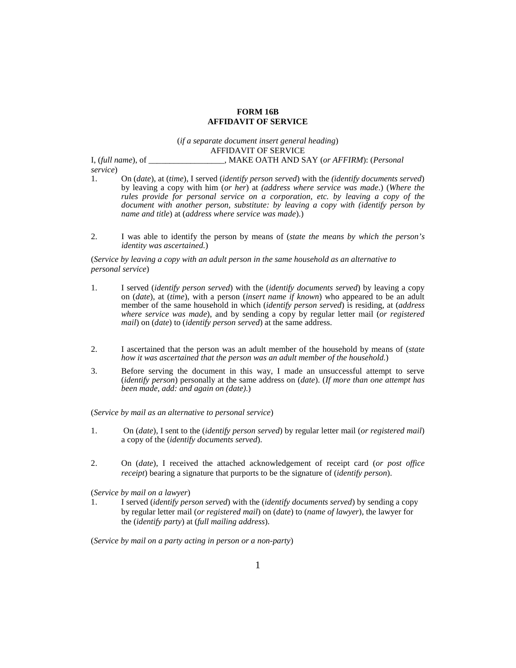## **FORM 16B AFFIDAVIT OF SERVICE**

## (*if a separate document insert general heading*) AFFIDAVIT OF SERVICE

I, (*full name*), of \_\_\_\_\_\_\_\_\_\_\_\_\_\_\_\_\_\_, MAKE OATH AND SAY (*or AFFIRM*): (*Personal* 

*service*)

- 1. On (*date*), at (*time*), I served (*identify person served*) with the *(identify documents served*) by leaving a copy with him (*or her*) at *(address where service was made*.) (*Where the rules provide for personal service on a corporation, etc. by leaving a copy of the document with another person, substitute: by leaving a copy with (identify person by name and title*) at (*address where service was made*).)
- 2. I was able to identify the person by means of (*state the means by which the person's identity was ascertained.*)

(*Service by leaving a copy with an adult person in the same household as an alternative to personal service*)

- 1. I served (*identify person served*) with the (*identify documents served*) by leaving a copy on (*date*), at (*time*), with a person (*insert name if known*) who appeared to be an adult member of the same household in which (*identify person served*) is residing, at (*address where service was made*), and by sending a copy by regular letter mail (*or registered mail*) on (*date*) to (*identify person served*) at the same address.
- 2. I ascertained that the person was an adult member of the household by means of (*state how it was ascertained that the person was an adult member of the household.*)
- 3. Before serving the document in this way, I made an unsuccessful attempt to serve (*identify person*) personally at the same address on (*date*). (*If more than one attempt has been made, add: and again on (date)*.)

(*Service by mail as an alternative to personal service*)

- 1. On (*date*), I sent to the (*identify person served*) by regular letter mail (*or registered mail*) a copy of the (*identify documents served*).
- 2. On (*date*), I received the attached acknowledgement of receipt card (*or post office receipt*) bearing a signature that purports to be the signature of (*identify person*).

(*Service by mail on a lawyer*)

1. I served (*identify person served*) with the (*identify documents served*) by sending a copy by regular letter mail (*or registered mail*) on (*date*) to (*name of lawyer*), the lawyer for the (*identify party*) at (*full mailing address*).

(*Service by mail on a party acting in person or a non-party*)